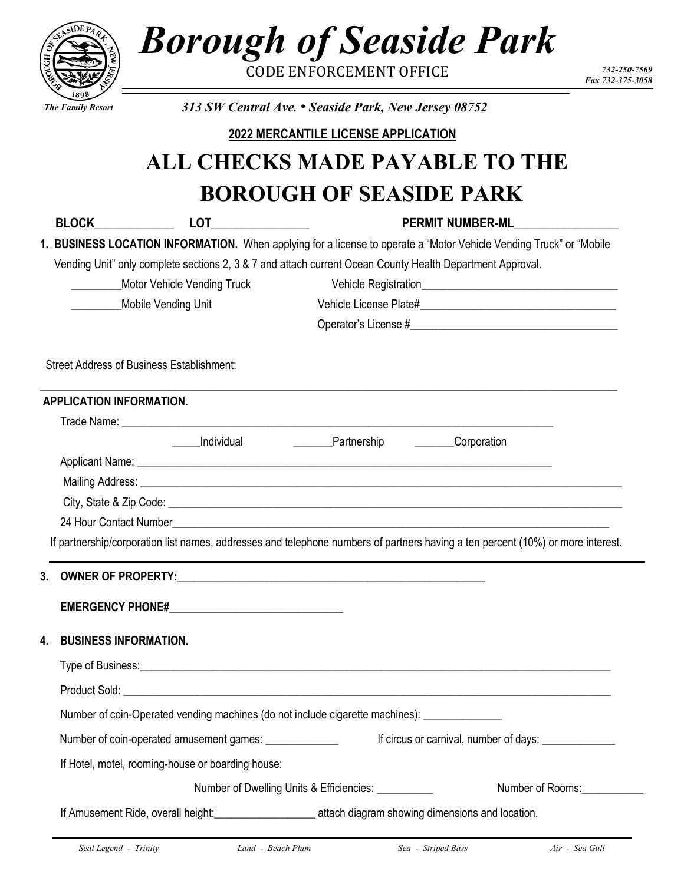| 7                                                         |                                                                                                                   | <b>Borough of Seaside Park</b><br><b>CODE ENFORCEMENT OFFICE</b>                                                                                                                                                                                                                  |                  | 732-250-7569     |  |
|-----------------------------------------------------------|-------------------------------------------------------------------------------------------------------------------|-----------------------------------------------------------------------------------------------------------------------------------------------------------------------------------------------------------------------------------------------------------------------------------|------------------|------------------|--|
|                                                           |                                                                                                                   |                                                                                                                                                                                                                                                                                   |                  | Fax 732-375-3058 |  |
| <b>The Family Resort</b>                                  | 313 SW Central Ave. • Seaside Park, New Jersey 08752                                                              |                                                                                                                                                                                                                                                                                   |                  |                  |  |
|                                                           |                                                                                                                   | 2022 MERCANTILE LICENSE APPLICATION                                                                                                                                                                                                                                               |                  |                  |  |
|                                                           |                                                                                                                   | <b>ALL CHECKS MADE PAYABLE TO THE</b>                                                                                                                                                                                                                                             |                  |                  |  |
|                                                           |                                                                                                                   | <b>BOROUGH OF SEASIDE PARK</b>                                                                                                                                                                                                                                                    |                  |                  |  |
|                                                           |                                                                                                                   |                                                                                                                                                                                                                                                                                   | PERMIT NUMBER-ML |                  |  |
|                                                           |                                                                                                                   | 1. BUSINESS LOCATION INFORMATION. When applying for a license to operate a "Motor Vehicle Vending Truck" or "Mobile                                                                                                                                                               |                  |                  |  |
|                                                           |                                                                                                                   | Vending Unit" only complete sections 2, 3 & 7 and attach current Ocean County Health Department Approval.                                                                                                                                                                         |                  |                  |  |
| <b>Motor Vehicle Vending Truck</b>                        |                                                                                                                   |                                                                                                                                                                                                                                                                                   |                  |                  |  |
| Mobile Vending Unit                                       |                                                                                                                   |                                                                                                                                                                                                                                                                                   |                  |                  |  |
|                                                           |                                                                                                                   |                                                                                                                                                                                                                                                                                   |                  |                  |  |
| <b>APPLICATION INFORMATION.</b><br>24 Hour Contact Number | Individual                                                                                                        | __________Partnership<br><u> 1989 - John Stein, Amerikaans en Stein, Stein en Stein en de Stein en het de Stein en van de Stein en Stein e</u><br>If partnership/corporation list names, addresses and telephone numbers of partners having a ten percent (10%) or more interest. | Corporation      |                  |  |
| 3.                                                        |                                                                                                                   |                                                                                                                                                                                                                                                                                   |                  |                  |  |
|                                                           |                                                                                                                   |                                                                                                                                                                                                                                                                                   |                  |                  |  |
| <b>BUSINESS INFORMATION.</b><br>4.                        |                                                                                                                   |                                                                                                                                                                                                                                                                                   |                  |                  |  |
|                                                           |                                                                                                                   |                                                                                                                                                                                                                                                                                   |                  |                  |  |
|                                                           |                                                                                                                   |                                                                                                                                                                                                                                                                                   |                  |                  |  |
|                                                           |                                                                                                                   | Number of coin-Operated vending machines (do not include cigarette machines): ______________                                                                                                                                                                                      |                  |                  |  |
|                                                           | Number of coin-operated amusement games: _______________<br>If circus or carnival, number of days: ______________ |                                                                                                                                                                                                                                                                                   |                  |                  |  |
|                                                           | If Hotel, motel, rooming-house or boarding house:                                                                 |                                                                                                                                                                                                                                                                                   |                  |                  |  |
|                                                           |                                                                                                                   | Number of Dwelling Units & Efficiencies: ___________                                                                                                                                                                                                                              | Number of Rooms: |                  |  |
|                                                           |                                                                                                                   | If Amusement Ride, overall height:<br><u> If Amusement Ride, overall height:</u>                                                                                                                                                                                                  |                  |                  |  |